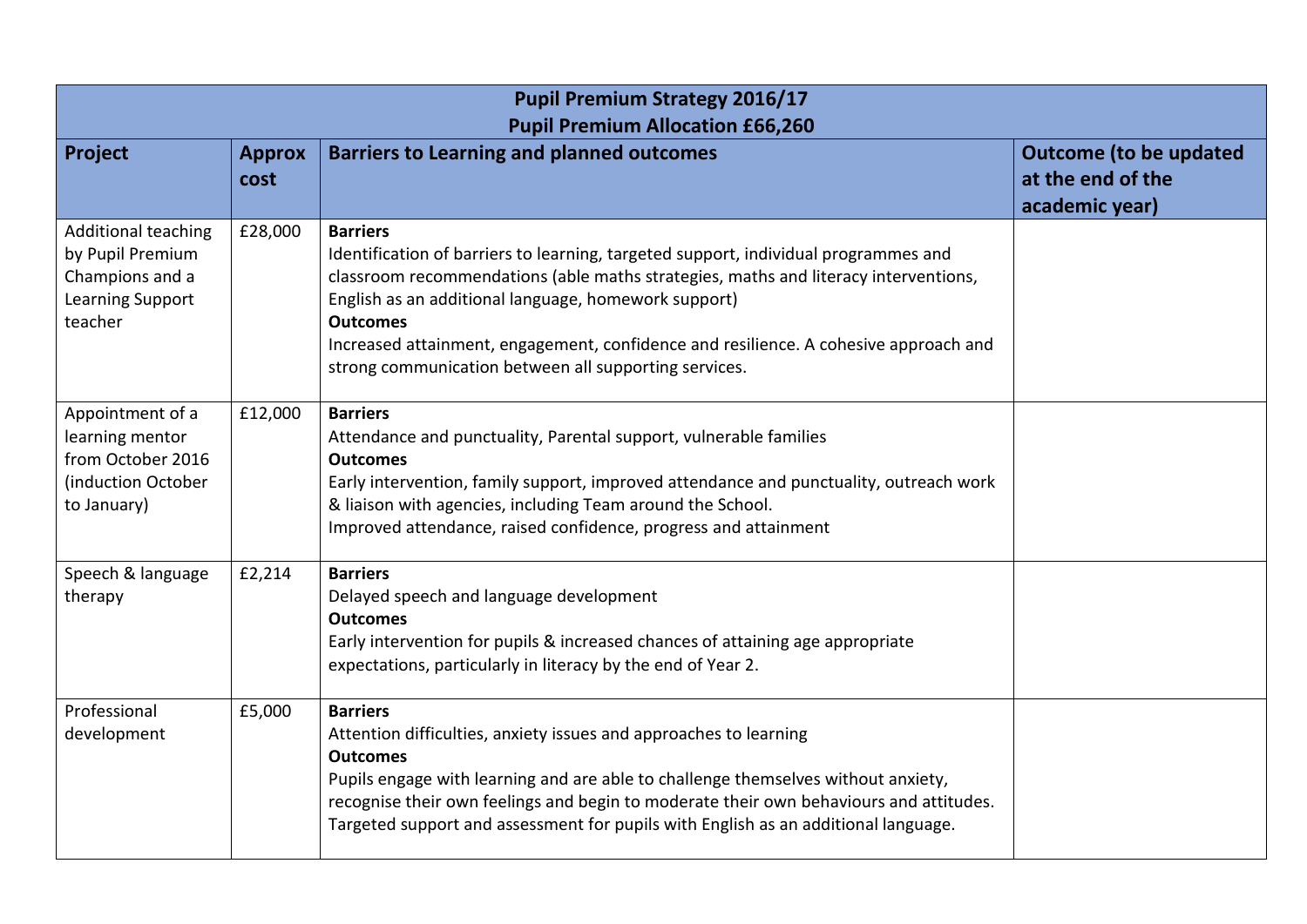| <b>Pupil Premium Strategy 2016/17</b><br><b>Pupil Premium Allocation £66,260</b>                 |                       |                                                                                                                                                                                                                                                                                                                                                                                                                           |                                                                      |  |  |
|--------------------------------------------------------------------------------------------------|-----------------------|---------------------------------------------------------------------------------------------------------------------------------------------------------------------------------------------------------------------------------------------------------------------------------------------------------------------------------------------------------------------------------------------------------------------------|----------------------------------------------------------------------|--|--|
| Project                                                                                          | <b>Approx</b><br>cost | <b>Barriers to Learning and planned outcomes</b>                                                                                                                                                                                                                                                                                                                                                                          | <b>Outcome (to be updated</b><br>at the end of the<br>academic year) |  |  |
| <b>Additional teaching</b><br>by Pupil Premium<br>Champions and a<br>Learning Support<br>teacher | £28,000               | <b>Barriers</b><br>Identification of barriers to learning, targeted support, individual programmes and<br>classroom recommendations (able maths strategies, maths and literacy interventions,<br>English as an additional language, homework support)<br><b>Outcomes</b><br>Increased attainment, engagement, confidence and resilience. A cohesive approach and<br>strong communication between all supporting services. |                                                                      |  |  |
| Appointment of a<br>learning mentor<br>from October 2016<br>(induction October<br>to January)    | £12,000               | <b>Barriers</b><br>Attendance and punctuality, Parental support, vulnerable families<br><b>Outcomes</b><br>Early intervention, family support, improved attendance and punctuality, outreach work<br>& liaison with agencies, including Team around the School.<br>Improved attendance, raised confidence, progress and attainment                                                                                        |                                                                      |  |  |
| Speech & language<br>therapy                                                                     | £2,214                | <b>Barriers</b><br>Delayed speech and language development<br><b>Outcomes</b><br>Early intervention for pupils & increased chances of attaining age appropriate<br>expectations, particularly in literacy by the end of Year 2.                                                                                                                                                                                           |                                                                      |  |  |
| Professional<br>development                                                                      | £5,000                | <b>Barriers</b><br>Attention difficulties, anxiety issues and approaches to learning<br><b>Outcomes</b><br>Pupils engage with learning and are able to challenge themselves without anxiety,<br>recognise their own feelings and begin to moderate their own behaviours and attitudes.<br>Targeted support and assessment for pupils with English as an additional language.                                              |                                                                      |  |  |